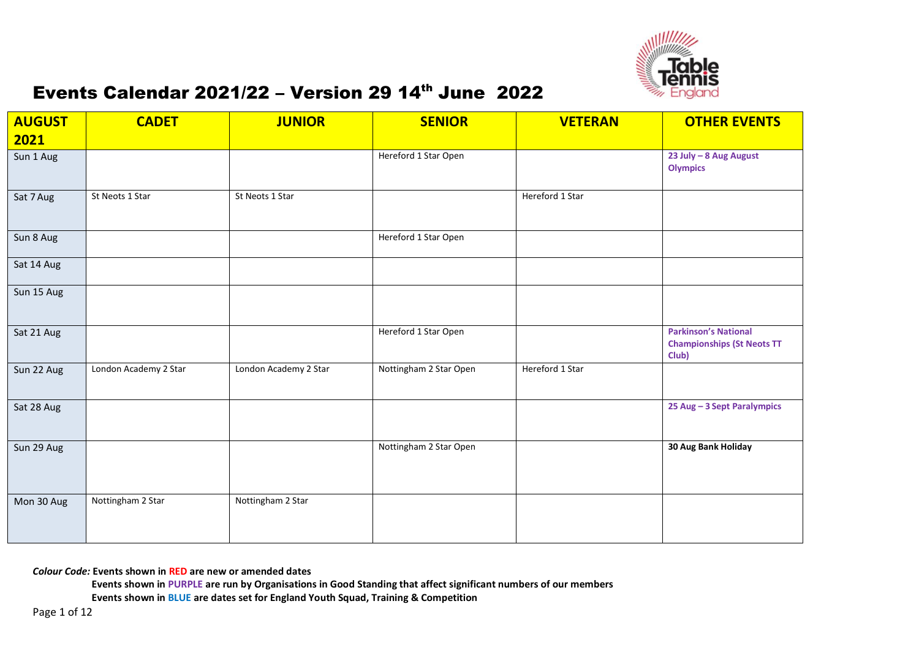

| <b>AUGUST</b> | <b>CADET</b>          | <b>JUNIOR</b>         | <b>SENIOR</b>          | <b>VETERAN</b>  | <b>OTHER EVENTS</b>                                                       |
|---------------|-----------------------|-----------------------|------------------------|-----------------|---------------------------------------------------------------------------|
| 2021          |                       |                       |                        |                 |                                                                           |
| Sun 1 Aug     |                       |                       | Hereford 1 Star Open   |                 | 23 July - 8 Aug August<br><b>Olympics</b>                                 |
| Sat 7 Aug     | St Neots 1 Star       | St Neots 1 Star       |                        | Hereford 1 Star |                                                                           |
| Sun 8 Aug     |                       |                       | Hereford 1 Star Open   |                 |                                                                           |
| Sat 14 Aug    |                       |                       |                        |                 |                                                                           |
| Sun 15 Aug    |                       |                       |                        |                 |                                                                           |
| Sat 21 Aug    |                       |                       | Hereford 1 Star Open   |                 | <b>Parkinson's National</b><br><b>Championships (St Neots TT</b><br>Club) |
| Sun 22 Aug    | London Academy 2 Star | London Academy 2 Star | Nottingham 2 Star Open | Hereford 1 Star |                                                                           |
| Sat 28 Aug    |                       |                       |                        |                 | 25 Aug - 3 Sept Paralympics                                               |
| Sun 29 Aug    |                       |                       | Nottingham 2 Star Open |                 | 30 Aug Bank Holiday                                                       |
| Mon 30 Aug    | Nottingham 2 Star     | Nottingham 2 Star     |                        |                 |                                                                           |

*Colour Code:* **Events shown in RED are new or amended dates**

**Events shown in PURPLE are run by Organisations in Good Standing that affect significant numbers of our members**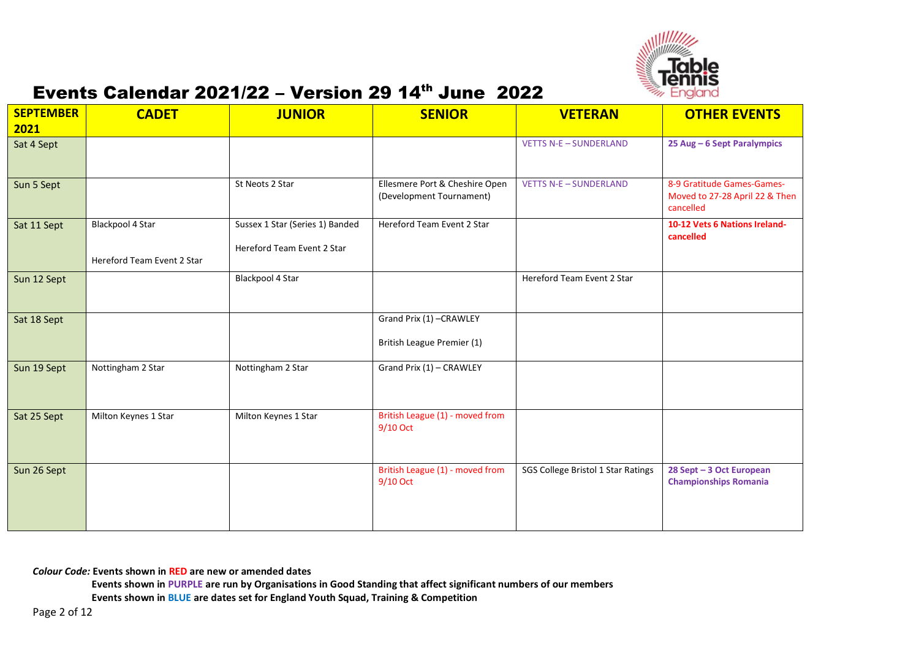

| <b>SEPTEMBER</b><br>2021 | <b>CADET</b>               | <b>JUNIOR</b>                   | <b>SENIOR</b>                                              | <b>VETERAN</b>                     | <b>OTHER EVENTS</b>                                                       |
|--------------------------|----------------------------|---------------------------------|------------------------------------------------------------|------------------------------------|---------------------------------------------------------------------------|
| Sat 4 Sept               |                            |                                 |                                                            | <b>VETTS N-E-SUNDERLAND</b>        | 25 Aug - 6 Sept Paralympics                                               |
|                          |                            |                                 |                                                            |                                    |                                                                           |
| Sun 5 Sept               |                            | St Neots 2 Star                 | Ellesmere Port & Cheshire Open<br>(Development Tournament) | <b>VETTS N-E-SUNDERLAND</b>        | 8-9 Gratitude Games-Games-<br>Moved to 27-28 April 22 & Then<br>cancelled |
| Sat 11 Sept              | Blackpool 4 Star           | Sussex 1 Star (Series 1) Banded | Hereford Team Event 2 Star                                 |                                    | 10-12 Vets 6 Nations Ireland-                                             |
|                          |                            | Hereford Team Event 2 Star      |                                                            |                                    | cancelled                                                                 |
|                          | Hereford Team Event 2 Star |                                 |                                                            |                                    |                                                                           |
| Sun 12 Sept              |                            | Blackpool 4 Star                |                                                            | Hereford Team Event 2 Star         |                                                                           |
|                          |                            |                                 |                                                            |                                    |                                                                           |
| Sat 18 Sept              |                            |                                 | Grand Prix (1) - CRAWLEY                                   |                                    |                                                                           |
|                          |                            |                                 | British League Premier (1)                                 |                                    |                                                                           |
| Sun 19 Sept              | Nottingham 2 Star          | Nottingham 2 Star               | Grand Prix (1) - CRAWLEY                                   |                                    |                                                                           |
|                          |                            |                                 |                                                            |                                    |                                                                           |
| Sat 25 Sept              | Milton Keynes 1 Star       | Milton Keynes 1 Star            | British League (1) - moved from                            |                                    |                                                                           |
|                          |                            |                                 | 9/10 Oct                                                   |                                    |                                                                           |
|                          |                            |                                 |                                                            |                                    |                                                                           |
| Sun 26 Sept              |                            |                                 | British League (1) - moved from                            | SGS College Bristol 1 Star Ratings | 28 Sept - 3 Oct European                                                  |
|                          |                            |                                 | 9/10 Oct                                                   |                                    | <b>Championships Romania</b>                                              |
|                          |                            |                                 |                                                            |                                    |                                                                           |
|                          |                            |                                 |                                                            |                                    |                                                                           |

#### *Colour Code:* **Events shown in RED are new or amended dates**

**Events shown in PURPLE are run by Organisations in Good Standing that affect significant numbers of our members**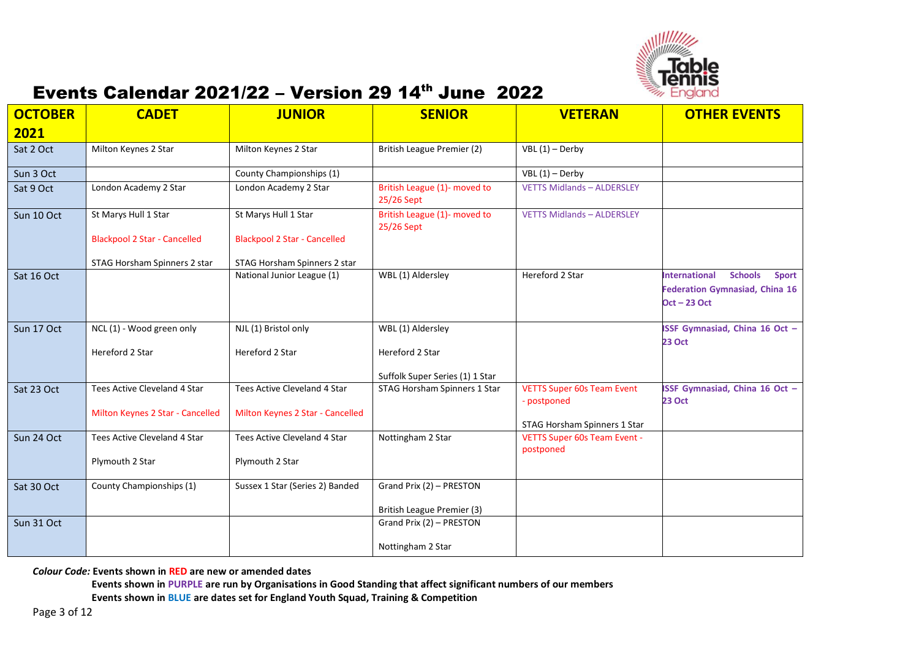

| <b>OCTOBER</b><br>2021 | <b>CADET</b>                        | <b>JUNIOR</b>                       | <b>SENIOR</b>                              | <b>VETERAN</b>                                   | <b>OTHER EVENTS</b>                                                                                               |
|------------------------|-------------------------------------|-------------------------------------|--------------------------------------------|--------------------------------------------------|-------------------------------------------------------------------------------------------------------------------|
| Sat 2 Oct              | Milton Keynes 2 Star                | Milton Keynes 2 Star                | British League Premier (2)                 | $VBL(1) - Derby$                                 |                                                                                                                   |
| Sun 3 Oct              |                                     | County Championships (1)            |                                            | $VBL(1) - Derby$                                 |                                                                                                                   |
| Sat 9 Oct              | London Academy 2 Star               | London Academy 2 Star               | British League (1)- moved to<br>25/26 Sept | <b>VETTS Midlands - ALDERSLEY</b>                |                                                                                                                   |
| Sun 10 Oct             | St Marys Hull 1 Star                | St Marys Hull 1 Star                | British League (1)- moved to<br>25/26 Sept | <b>VETTS Midlands - ALDERSLEY</b>                |                                                                                                                   |
|                        | <b>Blackpool 2 Star - Cancelled</b> | <b>Blackpool 2 Star - Cancelled</b> |                                            |                                                  |                                                                                                                   |
|                        | STAG Horsham Spinners 2 star        | STAG Horsham Spinners 2 star        |                                            |                                                  |                                                                                                                   |
| Sat 16 Oct             |                                     | National Junior League (1)          | WBL (1) Aldersley                          | Hereford 2 Star                                  | <b>International</b><br><b>Schools</b><br><b>Sport</b><br><b>Federation Gymnasiad, China 16</b><br>$Oct - 23 Oct$ |
| Sun 17 Oct             | NCL (1) - Wood green only           | NJL (1) Bristol only                | WBL (1) Aldersley                          |                                                  | <b>ISSF Gymnasiad, China 16 Oct -</b>                                                                             |
|                        | Hereford 2 Star                     | Hereford 2 Star                     | Hereford 2 Star                            |                                                  | <b>23 Oct</b>                                                                                                     |
|                        |                                     |                                     | Suffolk Super Series (1) 1 Star            |                                                  |                                                                                                                   |
| Sat 23 Oct             | Tees Active Cleveland 4 Star        | Tees Active Cleveland 4 Star        | STAG Horsham Spinners 1 Star               | <b>VETTS Super 60s Team Event</b><br>- postponed | ISSF Gymnasiad, China 16 Oct -<br><b>23 Oct</b>                                                                   |
|                        | Milton Keynes 2 Star - Cancelled    | Milton Keynes 2 Star - Cancelled    |                                            | STAG Horsham Spinners 1 Star                     |                                                                                                                   |
| Sun 24 Oct             | Tees Active Cleveland 4 Star        | Tees Active Cleveland 4 Star        | Nottingham 2 Star                          | VETTS Super 60s Team Event -<br>postponed        |                                                                                                                   |
|                        | Plymouth 2 Star                     | Plymouth 2 Star                     |                                            |                                                  |                                                                                                                   |
| Sat 30 Oct             | County Championships (1)            | Sussex 1 Star (Series 2) Banded     | Grand Prix (2) - PRESTON                   |                                                  |                                                                                                                   |
|                        |                                     |                                     | British League Premier (3)                 |                                                  |                                                                                                                   |
| Sun 31 Oct             |                                     |                                     | Grand Prix (2) - PRESTON                   |                                                  |                                                                                                                   |
|                        |                                     |                                     | Nottingham 2 Star                          |                                                  |                                                                                                                   |

*Colour Code:* **Events shown in RED are new or amended dates**

**Events shown in PURPLE are run by Organisations in Good Standing that affect significant numbers of our members**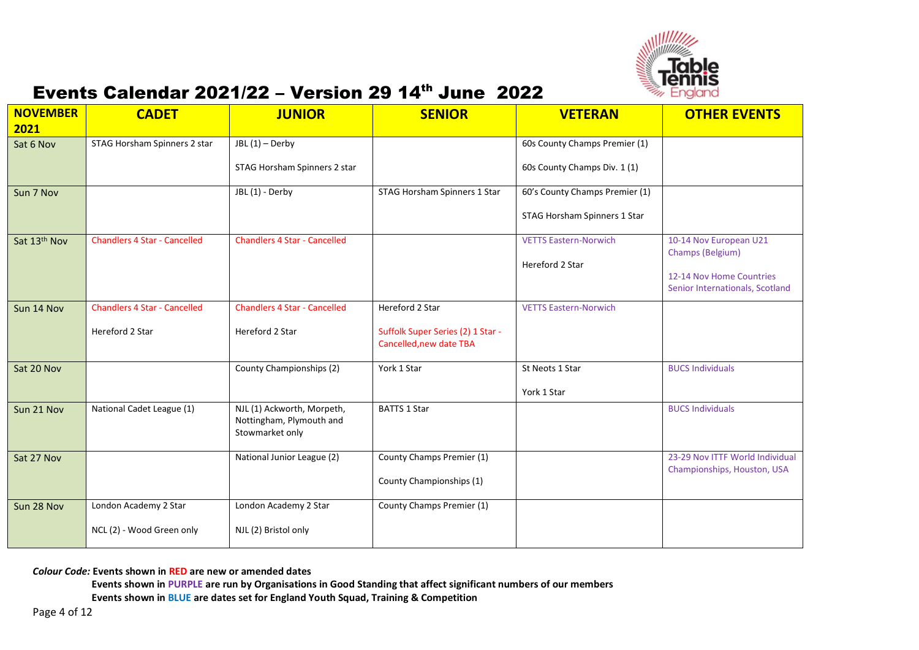

| <b>NOVEMBER</b><br>2021 | <b>CADET</b>                        | <b>JUNIOR</b>                                                             | <b>SENIOR</b>                                                | <b>VETERAN</b>                 | <b>OTHER EVENTS</b>                                         |
|-------------------------|-------------------------------------|---------------------------------------------------------------------------|--------------------------------------------------------------|--------------------------------|-------------------------------------------------------------|
| Sat 6 Nov               | STAG Horsham Spinners 2 star        | $JBL(1)-Derby$                                                            |                                                              | 60s County Champs Premier (1)  |                                                             |
|                         |                                     | STAG Horsham Spinners 2 star                                              |                                                              | 60s County Champs Div. 1 (1)   |                                                             |
| Sun 7 Nov               |                                     | JBL (1) - Derby                                                           | STAG Horsham Spinners 1 Star                                 | 60's County Champs Premier (1) |                                                             |
|                         |                                     |                                                                           |                                                              | STAG Horsham Spinners 1 Star   |                                                             |
| Sat 13th Nov            | <b>Chandlers 4 Star - Cancelled</b> | <b>Chandlers 4 Star - Cancelled</b>                                       |                                                              | <b>VETTS Eastern-Norwich</b>   | 10-14 Nov European U21                                      |
|                         |                                     |                                                                           |                                                              | Hereford 2 Star                | Champs (Belgium)                                            |
|                         |                                     |                                                                           |                                                              |                                | 12-14 Nov Home Countries<br>Senior Internationals, Scotland |
| Sun 14 Nov              | <b>Chandlers 4 Star - Cancelled</b> | <b>Chandlers 4 Star - Cancelled</b>                                       | Hereford 2 Star                                              | <b>VETTS Eastern-Norwich</b>   |                                                             |
|                         | Hereford 2 Star                     | Hereford 2 Star                                                           | Suffolk Super Series (2) 1 Star -<br>Cancelled, new date TBA |                                |                                                             |
| Sat 20 Nov              |                                     | County Championships (2)                                                  | York 1 Star                                                  | St Neots 1 Star                | <b>BUCS Individuals</b>                                     |
|                         |                                     |                                                                           |                                                              | York 1 Star                    |                                                             |
| Sun 21 Nov              | National Cadet League (1)           | NJL (1) Ackworth, Morpeth,<br>Nottingham, Plymouth and<br>Stowmarket only | <b>BATTS 1 Star</b>                                          |                                | <b>BUCS Individuals</b>                                     |
| Sat 27 Nov              |                                     | National Junior League (2)                                                | County Champs Premier (1)                                    |                                | 23-29 Nov ITTF World Individual                             |
|                         |                                     |                                                                           | County Championships (1)                                     |                                | Championships, Houston, USA                                 |
| Sun 28 Nov              | London Academy 2 Star               | London Academy 2 Star                                                     | County Champs Premier (1)                                    |                                |                                                             |
|                         | NCL (2) - Wood Green only           | NJL (2) Bristol only                                                      |                                                              |                                |                                                             |

*Colour Code:* **Events shown in RED are new or amended dates**

**Events shown in PURPLE are run by Organisations in Good Standing that affect significant numbers of our members**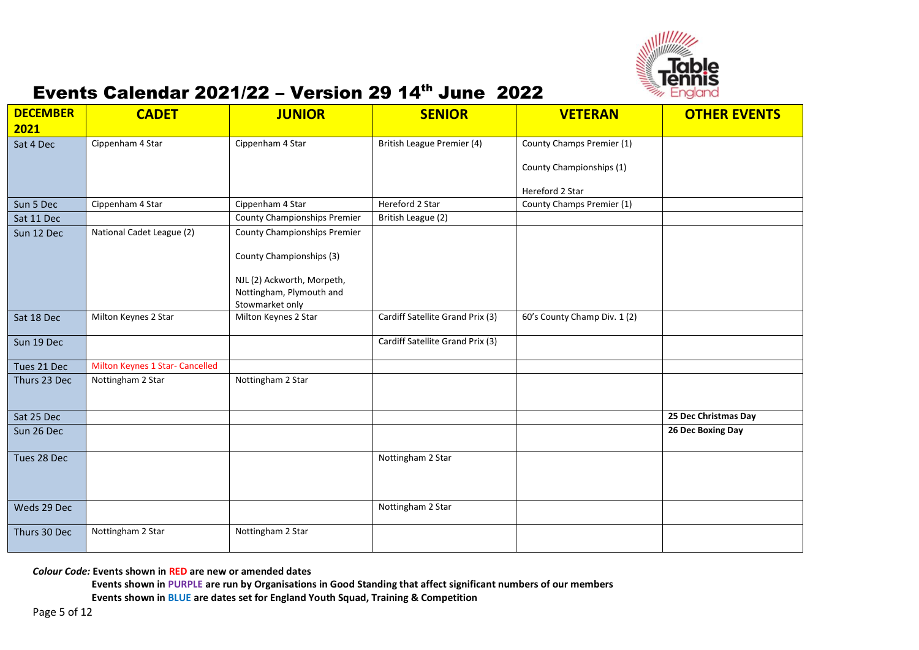

| <b>DECEMBER</b> | <b>CADET</b>                    | <b>JUNIOR</b>                       | <b>SENIOR</b>                    | <b>VETERAN</b>               | <b>OTHER EVENTS</b>  |
|-----------------|---------------------------------|-------------------------------------|----------------------------------|------------------------------|----------------------|
| 2021            |                                 |                                     |                                  |                              |                      |
| Sat 4 Dec       | Cippenham 4 Star                | Cippenham 4 Star                    | British League Premier (4)       | County Champs Premier (1)    |                      |
|                 |                                 |                                     |                                  | County Championships (1)     |                      |
|                 |                                 |                                     |                                  | Hereford 2 Star              |                      |
| Sun 5 Dec       | Cippenham 4 Star                | Cippenham 4 Star                    | Hereford 2 Star                  | County Champs Premier (1)    |                      |
| Sat 11 Dec      |                                 | <b>County Championships Premier</b> | British League (2)               |                              |                      |
| Sun 12 Dec      | National Cadet League (2)       | <b>County Championships Premier</b> |                                  |                              |                      |
|                 |                                 | County Championships (3)            |                                  |                              |                      |
|                 |                                 | NJL (2) Ackworth, Morpeth,          |                                  |                              |                      |
|                 |                                 | Nottingham, Plymouth and            |                                  |                              |                      |
|                 |                                 | Stowmarket only                     |                                  |                              |                      |
| Sat 18 Dec      | Milton Keynes 2 Star            | Milton Keynes 2 Star                | Cardiff Satellite Grand Prix (3) | 60's County Champ Div. 1 (2) |                      |
| Sun 19 Dec      |                                 |                                     | Cardiff Satellite Grand Prix (3) |                              |                      |
| Tues 21 Dec     | Milton Keynes 1 Star- Cancelled |                                     |                                  |                              |                      |
| Thurs 23 Dec    | Nottingham 2 Star               | Nottingham 2 Star                   |                                  |                              |                      |
| Sat 25 Dec      |                                 |                                     |                                  |                              | 25 Dec Christmas Day |
| Sun 26 Dec      |                                 |                                     |                                  |                              | 26 Dec Boxing Day    |
| Tues 28 Dec     |                                 |                                     | Nottingham 2 Star                |                              |                      |
| Weds 29 Dec     |                                 |                                     | Nottingham 2 Star                |                              |                      |
| Thurs 30 Dec    | Nottingham 2 Star               | Nottingham 2 Star                   |                                  |                              |                      |

*Colour Code:* **Events shown in RED are new or amended dates**

**Events shown in PURPLE are run by Organisations in Good Standing that affect significant numbers of our members**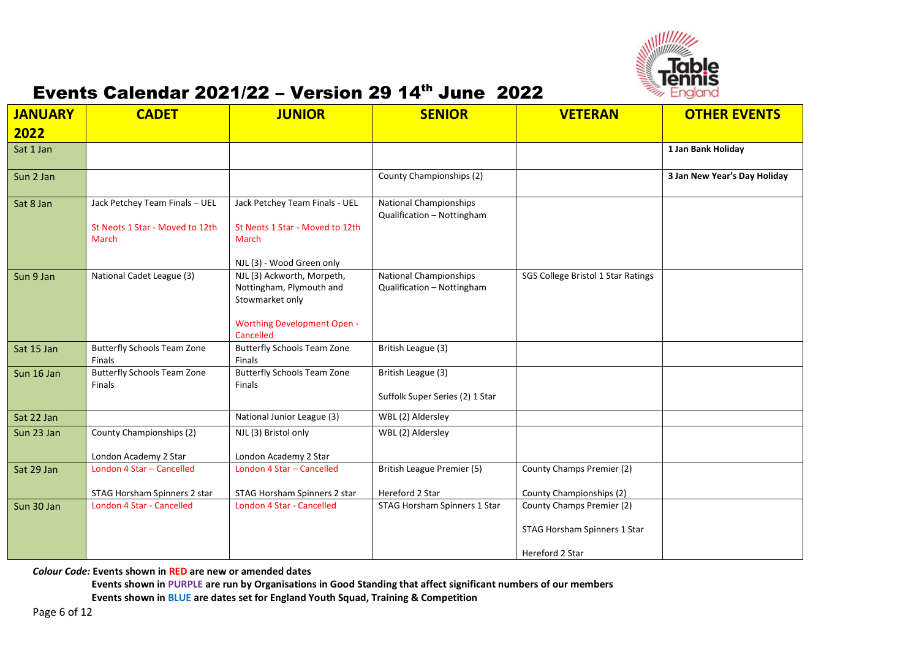

| <b>JANUARY</b><br>2022 | <b>CADET</b>                                                               | <b>JUNIOR</b>                                                                                                                | <b>SENIOR</b>                                               | <b>VETERAN</b>                                                               | <b>OTHER EVENTS</b>          |
|------------------------|----------------------------------------------------------------------------|------------------------------------------------------------------------------------------------------------------------------|-------------------------------------------------------------|------------------------------------------------------------------------------|------------------------------|
| Sat 1 Jan              |                                                                            |                                                                                                                              |                                                             |                                                                              | 1 Jan Bank Holiday           |
| Sun 2 Jan              |                                                                            |                                                                                                                              | County Championships (2)                                    |                                                                              | 3 Jan New Year's Day Holiday |
| Sat 8 Jan              | Jack Petchey Team Finals - UEL<br>St Neots 1 Star - Moved to 12th<br>March | Jack Petchey Team Finals - UEL<br>St Neots 1 Star - Moved to 12th<br>March<br>NJL (3) - Wood Green only                      | <b>National Championships</b><br>Qualification - Nottingham |                                                                              |                              |
| Sun 9 Jan              | National Cadet League (3)                                                  | NJL (3) Ackworth, Morpeth,<br>Nottingham, Plymouth and<br>Stowmarket only<br><b>Worthing Development Open -</b><br>Cancelled | <b>National Championships</b><br>Qualification - Nottingham | SGS College Bristol 1 Star Ratings                                           |                              |
| Sat 15 Jan             | <b>Butterfly Schools Team Zone</b><br><b>Finals</b>                        | <b>Butterfly Schools Team Zone</b><br><b>Finals</b>                                                                          | British League (3)                                          |                                                                              |                              |
| Sun 16 Jan             | <b>Butterfly Schools Team Zone</b><br>Finals                               | <b>Butterfly Schools Team Zone</b><br>Finals                                                                                 | British League (3)<br>Suffolk Super Series (2) 1 Star       |                                                                              |                              |
| Sat 22 Jan             |                                                                            | National Junior League (3)                                                                                                   | WBL (2) Aldersley                                           |                                                                              |                              |
| Sun 23 Jan             | County Championships (2)<br>London Academy 2 Star                          | NJL (3) Bristol only<br>London Academy 2 Star                                                                                | WBL (2) Aldersley                                           |                                                                              |                              |
| Sat 29 Jan             | London 4 Star - Cancelled<br>STAG Horsham Spinners 2 star                  | London 4 Star - Cancelled<br>STAG Horsham Spinners 2 star                                                                    | British League Premier (5)<br>Hereford 2 Star               | County Champs Premier (2)<br>County Championships (2)                        |                              |
| Sun 30 Jan             | <b>London 4 Star - Cancelled</b>                                           | London 4 Star - Cancelled                                                                                                    | STAG Horsham Spinners 1 Star                                | County Champs Premier (2)<br>STAG Horsham Spinners 1 Star<br>Hereford 2 Star |                              |

*Colour Code:* **Events shown in RED are new or amended dates**

**Events shown in PURPLE are run by Organisations in Good Standing that affect significant numbers of our members Events shown in BLUE are dates set for England Youth Squad, Training & Competition**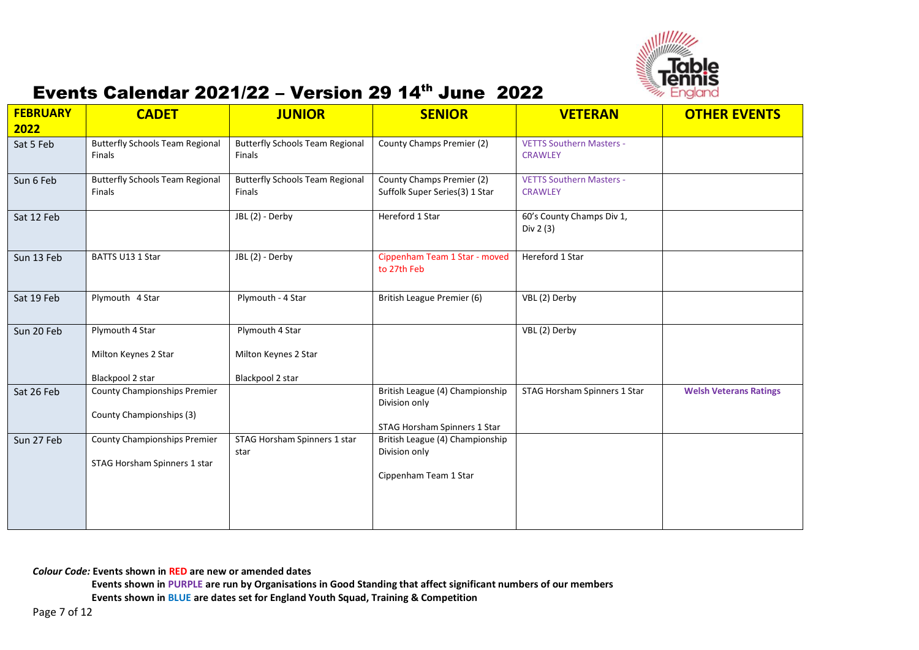

| <b>FEBRUARY</b><br>2022 | <b>CADET</b>                                                        | <b>JUNIOR</b>                                               | <b>SENIOR</b>                                                                    | <b>VETERAN</b>                                    | <b>OTHER EVENTS</b>           |
|-------------------------|---------------------------------------------------------------------|-------------------------------------------------------------|----------------------------------------------------------------------------------|---------------------------------------------------|-------------------------------|
| Sat 5 Feb               | <b>Butterfly Schools Team Regional</b><br>Finals                    | <b>Butterfly Schools Team Regional</b><br>Finals            | County Champs Premier (2)                                                        | <b>VETTS Southern Masters -</b><br><b>CRAWLEY</b> |                               |
| Sun 6 Feb               | <b>Butterfly Schools Team Regional</b><br>Finals                    | <b>Butterfly Schools Team Regional</b><br>Finals            | County Champs Premier (2)<br>Suffolk Super Series(3) 1 Star                      | <b>VETTS Southern Masters -</b><br><b>CRAWLEY</b> |                               |
| Sat 12 Feb              |                                                                     | JBL (2) - Derby                                             | Hereford 1 Star                                                                  | 60's County Champs Div 1,<br>Div 2 (3)            |                               |
| Sun 13 Feb              | BATTS U13 1 Star                                                    | JBL (2) - Derby                                             | Cippenham Team 1 Star - moved<br>to 27th Feb                                     | Hereford 1 Star                                   |                               |
| Sat 19 Feb              | Plymouth 4 Star                                                     | Plymouth - 4 Star                                           | British League Premier (6)                                                       | VBL (2) Derby                                     |                               |
| Sun 20 Feb              | Plymouth 4 Star<br>Milton Keynes 2 Star<br>Blackpool 2 star         | Plymouth 4 Star<br>Milton Keynes 2 Star<br>Blackpool 2 star |                                                                                  | VBL (2) Derby                                     |                               |
| Sat 26 Feb              | <b>County Championships Premier</b><br>County Championships (3)     |                                                             | British League (4) Championship<br>Division only<br>STAG Horsham Spinners 1 Star | STAG Horsham Spinners 1 Star                      | <b>Welsh Veterans Ratings</b> |
| Sun 27 Feb              | <b>County Championships Premier</b><br>STAG Horsham Spinners 1 star | STAG Horsham Spinners 1 star<br>star                        | British League (4) Championship<br>Division only<br>Cippenham Team 1 Star        |                                                   |                               |

*Colour Code:* **Events shown in RED are new or amended dates**

**Events shown in PURPLE are run by Organisations in Good Standing that affect significant numbers of our members**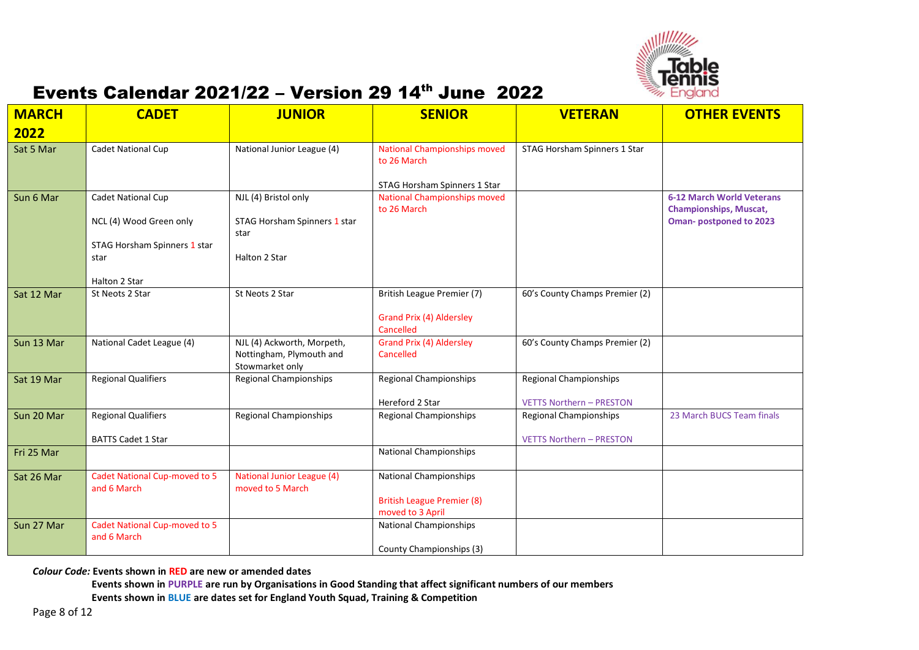

| <b>MARCH</b><br>2022 | <b>CADET</b>                                 | <b>JUNIOR</b>                                                             | <b>SENIOR</b>                                         | <b>VETERAN</b>                  | <b>OTHER EVENTS</b>                                               |
|----------------------|----------------------------------------------|---------------------------------------------------------------------------|-------------------------------------------------------|---------------------------------|-------------------------------------------------------------------|
| Sat 5 Mar            | Cadet National Cup                           | National Junior League (4)                                                | <b>National Championships moved</b><br>to 26 March    | STAG Horsham Spinners 1 Star    |                                                                   |
|                      |                                              |                                                                           | STAG Horsham Spinners 1 Star                          |                                 |                                                                   |
| Sun 6 Mar            | Cadet National Cup                           | NJL (4) Bristol only                                                      | <b>National Championships moved</b><br>to 26 March    |                                 | <b>6-12 March World Veterans</b><br><b>Championships, Muscat,</b> |
|                      | NCL (4) Wood Green only                      | STAG Horsham Spinners 1 star<br>star                                      |                                                       |                                 | <b>Oman-postponed to 2023</b>                                     |
|                      | STAG Horsham Spinners 1 star<br>star         | Halton 2 Star                                                             |                                                       |                                 |                                                                   |
|                      | Halton 2 Star                                |                                                                           |                                                       |                                 |                                                                   |
| Sat 12 Mar           | St Neots 2 Star                              | St Neots 2 Star                                                           | British League Premier (7)                            | 60's County Champs Premier (2)  |                                                                   |
|                      |                                              |                                                                           | Grand Prix (4) Aldersley<br>Cancelled                 |                                 |                                                                   |
| Sun 13 Mar           | National Cadet League (4)                    | NJL (4) Ackworth, Morpeth,<br>Nottingham, Plymouth and<br>Stowmarket only | <b>Grand Prix (4) Aldersley</b><br>Cancelled          | 60's County Champs Premier (2)  |                                                                   |
| Sat 19 Mar           | Regional Qualifiers                          | <b>Regional Championships</b>                                             | <b>Regional Championships</b>                         | <b>Regional Championships</b>   |                                                                   |
|                      |                                              |                                                                           | Hereford 2 Star                                       | <b>VETTS Northern - PRESTON</b> |                                                                   |
| Sun 20 Mar           | <b>Regional Qualifiers</b>                   | <b>Regional Championships</b>                                             | <b>Regional Championships</b>                         | <b>Regional Championships</b>   | 23 March BUCS Team finals                                         |
|                      | <b>BATTS Cadet 1 Star</b>                    |                                                                           |                                                       | <b>VETTS Northern - PRESTON</b> |                                                                   |
| Fri 25 Mar           |                                              |                                                                           | <b>National Championships</b>                         |                                 |                                                                   |
| Sat 26 Mar           | Cadet National Cup-moved to 5<br>and 6 March | <b>National Junior League (4)</b><br>moved to 5 March                     | <b>National Championships</b>                         |                                 |                                                                   |
|                      |                                              |                                                                           | <b>British League Premier (8)</b><br>moved to 3 April |                                 |                                                                   |
| Sun 27 Mar           | Cadet National Cup-moved to 5<br>and 6 March |                                                                           | <b>National Championships</b>                         |                                 |                                                                   |
|                      |                                              |                                                                           | County Championships (3)                              |                                 |                                                                   |

*Colour Code:* **Events shown in RED are new or amended dates**

**Events shown in PURPLE are run by Organisations in Good Standing that affect significant numbers of our members**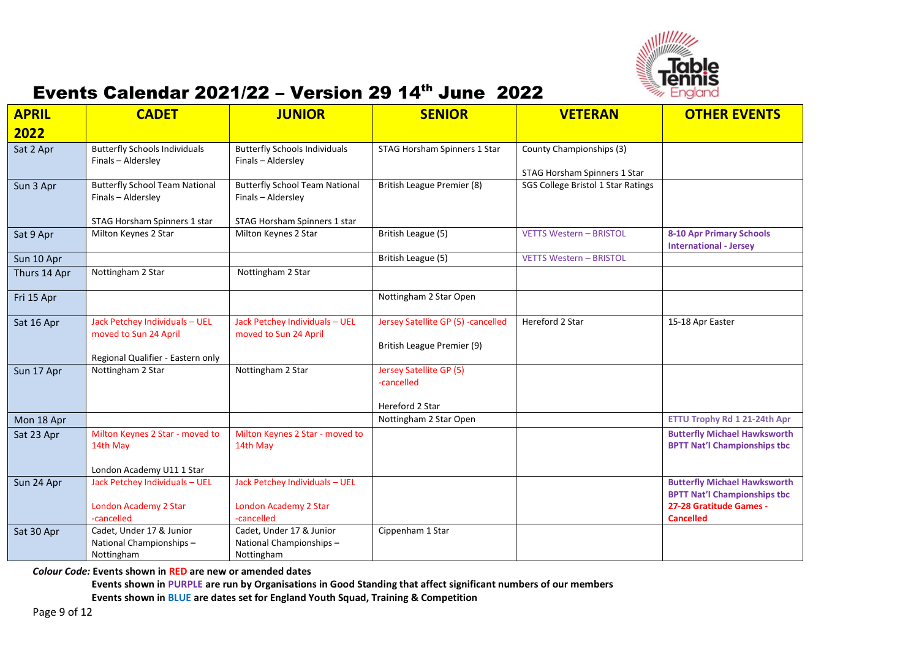

| <b>APRIL</b> | <b>CADET</b>                                                                                 | <b>JUNIOR</b>                                               | <b>SENIOR</b>                                                    | <b>VETERAN</b>                                           | <b>OTHER EVENTS</b>                                                        |
|--------------|----------------------------------------------------------------------------------------------|-------------------------------------------------------------|------------------------------------------------------------------|----------------------------------------------------------|----------------------------------------------------------------------------|
| 2022         |                                                                                              |                                                             |                                                                  |                                                          |                                                                            |
| Sat 2 Apr    | <b>Butterfly Schools Individuals</b><br>Finals - Aldersley                                   | <b>Butterfly Schools Individuals</b><br>Finals - Aldersley  | STAG Horsham Spinners 1 Star                                     | County Championships (3)<br>STAG Horsham Spinners 1 Star |                                                                            |
| Sun 3 Apr    | <b>Butterfly School Team National</b><br>Finals - Aldersley                                  | <b>Butterfly School Team National</b><br>Finals - Aldersley | British League Premier (8)                                       | SGS College Bristol 1 Star Ratings                       |                                                                            |
|              | STAG Horsham Spinners 1 star                                                                 | STAG Horsham Spinners 1 star                                |                                                                  |                                                          |                                                                            |
| Sat 9 Apr    | Milton Keynes 2 Star                                                                         | Milton Keynes 2 Star                                        | British League (5)                                               | <b>VETTS Western - BRISTOL</b>                           | <b>8-10 Apr Primary Schools</b><br><b>International - Jersey</b>           |
| Sun 10 Apr   |                                                                                              |                                                             | British League (5)                                               | <b>VETTS Western - BRISTOL</b>                           |                                                                            |
| Thurs 14 Apr | Nottingham 2 Star                                                                            | Nottingham 2 Star                                           |                                                                  |                                                          |                                                                            |
| Fri 15 Apr   |                                                                                              |                                                             | Nottingham 2 Star Open                                           |                                                          |                                                                            |
| Sat 16 Apr   | Jack Petchey Individuals - UEL<br>moved to Sun 24 April<br>Regional Qualifier - Eastern only | Jack Petchey Individuals - UEL<br>moved to Sun 24 April     | Jersey Satellite GP (5) -cancelled<br>British League Premier (9) | Hereford 2 Star                                          | 15-18 Apr Easter                                                           |
| Sun 17 Apr   | Nottingham 2 Star                                                                            | Nottingham 2 Star                                           | Jersey Satellite GP (5)<br>-cancelled                            |                                                          |                                                                            |
|              |                                                                                              |                                                             | Hereford 2 Star<br>Nottingham 2 Star Open                        |                                                          | ETTU Trophy Rd 1 21-24th Apr                                               |
| Mon 18 Apr   |                                                                                              |                                                             |                                                                  |                                                          |                                                                            |
| Sat 23 Apr   | Milton Keynes 2 Star - moved to<br>14th May                                                  | Milton Keynes 2 Star - moved to<br>14th May                 |                                                                  |                                                          | <b>Butterfly Michael Hawksworth</b><br><b>BPTT Nat'l Championships tbc</b> |
|              | London Academy U11 1 Star                                                                    |                                                             |                                                                  |                                                          |                                                                            |
| Sun 24 Apr   | Jack Petchey Individuals - UEL                                                               | Jack Petchey Individuals - UEL                              |                                                                  |                                                          | <b>Butterfly Michael Hawksworth</b><br><b>BPTT Nat'l Championships tbc</b> |
|              | London Academy 2 Star<br>-cancelled                                                          | London Academy 2 Star<br>-cancelled                         |                                                                  |                                                          | 27-28 Gratitude Games -<br><b>Cancelled</b>                                |
| Sat 30 Apr   | Cadet, Under 17 & Junior                                                                     | Cadet, Under 17 & Junior                                    | Cippenham 1 Star                                                 |                                                          |                                                                            |
|              | National Championships-                                                                      | National Championships-                                     |                                                                  |                                                          |                                                                            |
|              | Nottingham                                                                                   | Nottingham                                                  |                                                                  |                                                          |                                                                            |

*Colour Code:* **Events shown in RED are new or amended dates**

**Events shown in PURPLE are run by Organisations in Good Standing that affect significant numbers of our members**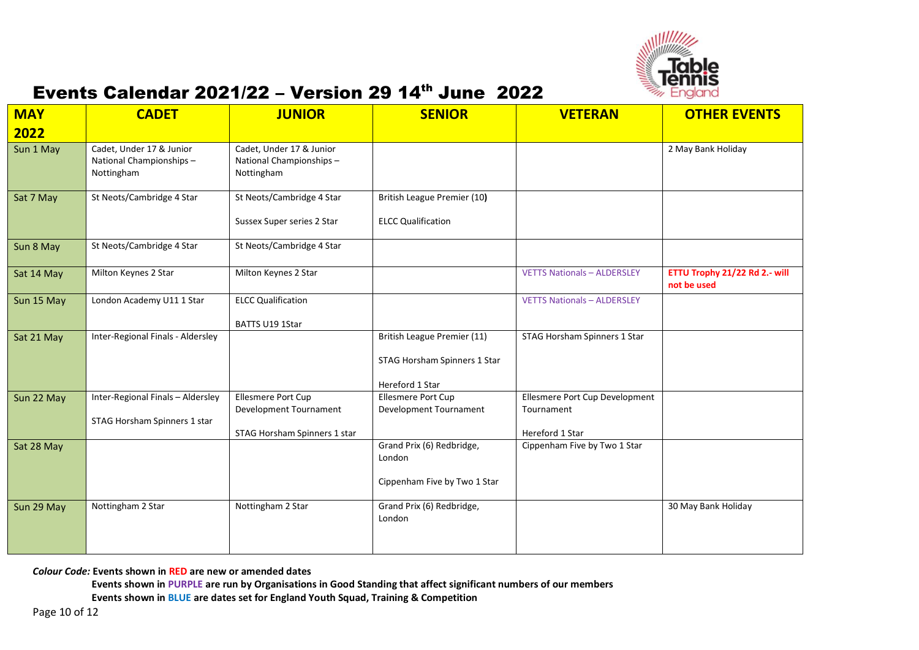

| <b>MAY</b> | <b>CADET</b>                                                      | <b>JUNIOR</b>                                                                | <b>SENIOR</b>                                                                  | <b>VETERAN</b>                                                  | <b>OTHER EVENTS</b>                          |
|------------|-------------------------------------------------------------------|------------------------------------------------------------------------------|--------------------------------------------------------------------------------|-----------------------------------------------------------------|----------------------------------------------|
| 2022       |                                                                   |                                                                              |                                                                                |                                                                 |                                              |
| Sun 1 May  | Cadet, Under 17 & Junior<br>National Championships-<br>Nottingham | Cadet, Under 17 & Junior<br>National Championships-<br>Nottingham            |                                                                                |                                                                 | 2 May Bank Holiday                           |
| Sat 7 May  | St Neots/Cambridge 4 Star                                         | St Neots/Cambridge 4 Star<br>Sussex Super series 2 Star                      | British League Premier (10)<br><b>ELCC Qualification</b>                       |                                                                 |                                              |
| Sun 8 May  | St Neots/Cambridge 4 Star                                         | St Neots/Cambridge 4 Star                                                    |                                                                                |                                                                 |                                              |
| Sat 14 May | Milton Keynes 2 Star                                              | Milton Keynes 2 Star                                                         |                                                                                | <b>VETTS Nationals - ALDERSLEY</b>                              | ETTU Trophy 21/22 Rd 2.- will<br>not be used |
| Sun 15 May | London Academy U11 1 Star                                         | <b>ELCC Qualification</b><br>BATTS U19 1Star                                 |                                                                                | <b>VETTS Nationals - ALDERSLEY</b>                              |                                              |
| Sat 21 May | Inter-Regional Finals - Aldersley                                 |                                                                              | British League Premier (11)<br>STAG Horsham Spinners 1 Star<br>Hereford 1 Star | STAG Horsham Spinners 1 Star                                    |                                              |
| Sun 22 May | Inter-Regional Finals - Aldersley<br>STAG Horsham Spinners 1 star | Ellesmere Port Cup<br>Development Tournament<br>STAG Horsham Spinners 1 star | Ellesmere Port Cup<br>Development Tournament                                   | Ellesmere Port Cup Development<br>Tournament<br>Hereford 1 Star |                                              |
| Sat 28 May |                                                                   |                                                                              | Grand Prix (6) Redbridge,<br>London<br>Cippenham Five by Two 1 Star            | Cippenham Five by Two 1 Star                                    |                                              |
| Sun 29 May | Nottingham 2 Star                                                 | Nottingham 2 Star                                                            | Grand Prix (6) Redbridge,<br>London                                            |                                                                 | 30 May Bank Holiday                          |

*Colour Code:* **Events shown in RED are new or amended dates**

**Events shown in PURPLE are run by Organisations in Good Standing that affect significant numbers of our members**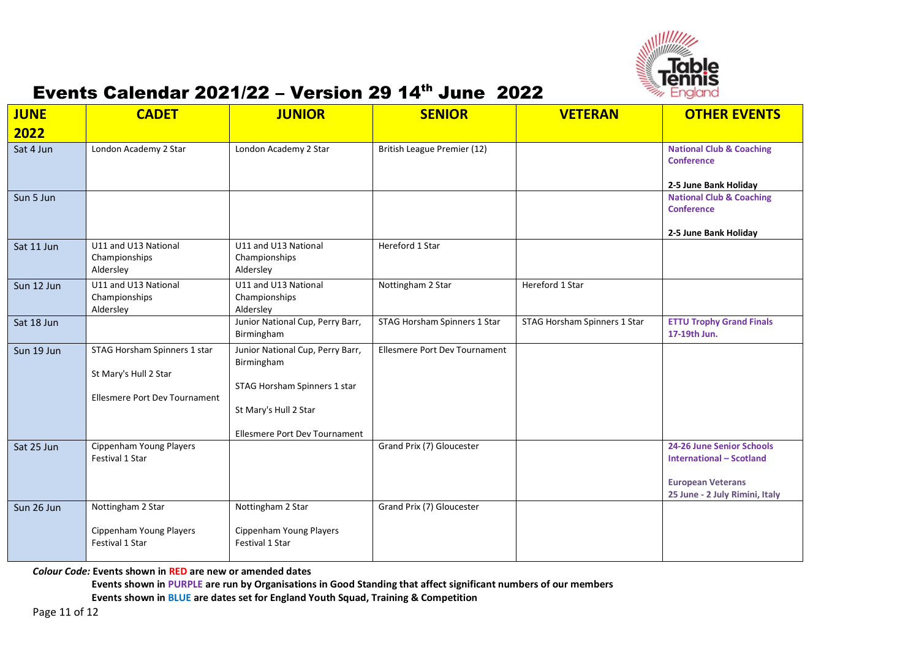

| <b>JUNE</b> | <b>CADET</b>                                                    | <b>JUNIOR</b>                                                   | <b>SENIOR</b>                        | <b>VETERAN</b>               | <b>OTHER EVENTS</b>                                                               |
|-------------|-----------------------------------------------------------------|-----------------------------------------------------------------|--------------------------------------|------------------------------|-----------------------------------------------------------------------------------|
| 2022        |                                                                 |                                                                 |                                      |                              |                                                                                   |
| Sat 4 Jun   | London Academy 2 Star                                           | London Academy 2 Star                                           | British League Premier (12)          |                              | <b>National Club &amp; Coaching</b><br><b>Conference</b><br>2-5 June Bank Holiday |
| Sun 5 Jun   |                                                                 |                                                                 |                                      |                              | <b>National Club &amp; Coaching</b><br><b>Conference</b><br>2-5 June Bank Holiday |
| Sat 11 Jun  | U11 and U13 National<br>Championships<br>Aldersley              | U11 and U13 National<br>Championships<br>Aldersley              | Hereford 1 Star                      |                              |                                                                                   |
| Sun 12 Jun  | U11 and U13 National<br>Championships<br>Aldersley              | U11 and U13 National<br>Championships<br>Aldersley              | Nottingham 2 Star                    | Hereford 1 Star              |                                                                                   |
| Sat 18 Jun  |                                                                 | Junior National Cup, Perry Barr,<br>Birmingham                  | STAG Horsham Spinners 1 Star         | STAG Horsham Spinners 1 Star | <b>ETTU Trophy Grand Finals</b><br>17-19th Jun.                                   |
| Sun 19 Jun  | STAG Horsham Spinners 1 star<br>St Mary's Hull 2 Star           | Junior National Cup, Perry Barr,<br>Birmingham                  | <b>Ellesmere Port Dev Tournament</b> |                              |                                                                                   |
|             | Ellesmere Port Dev Tournament                                   | STAG Horsham Spinners 1 star<br>St Mary's Hull 2 Star           |                                      |                              |                                                                                   |
| Sat 25 Jun  | Cippenham Young Players<br>Festival 1 Star                      | Ellesmere Port Dev Tournament                                   | Grand Prix (7) Gloucester            |                              | <b>24-26 June Senior Schools</b><br><b>International - Scotland</b>               |
|             |                                                                 |                                                                 |                                      |                              | <b>European Veterans</b><br>25 June - 2 July Rimini, Italy                        |
| Sun 26 Jun  | Nottingham 2 Star<br>Cippenham Young Players<br>Festival 1 Star | Nottingham 2 Star<br>Cippenham Young Players<br>Festival 1 Star | Grand Prix (7) Gloucester            |                              |                                                                                   |

*Colour Code:* **Events shown in RED are new or amended dates**

**Events shown in PURPLE are run by Organisations in Good Standing that affect significant numbers of our members**